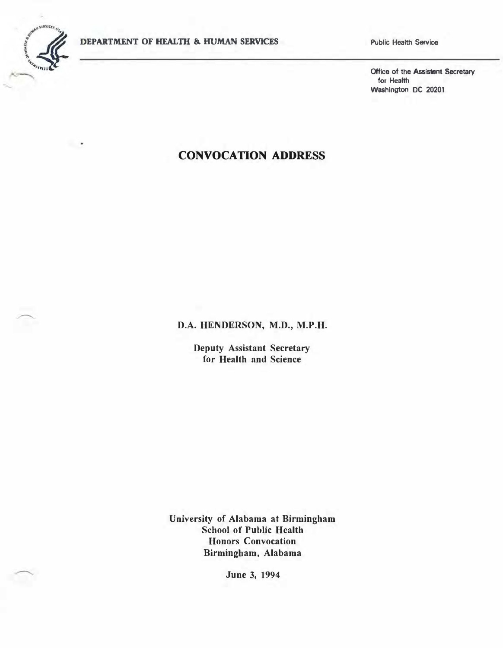

 $\overline{\phantom{a}}$ 

Public Health Service

Office of the Assistant Secretary for Health Washington DC 20201

## CONVOCATION ADDRESS

D.A. HENDERSON, M.D., M.P.H.

Deputy Assistant Secretary for Health and Science

University of Alabama at Birmingham School of Public Health Honors Convocation Birmingham, Alabama

June 3, 1994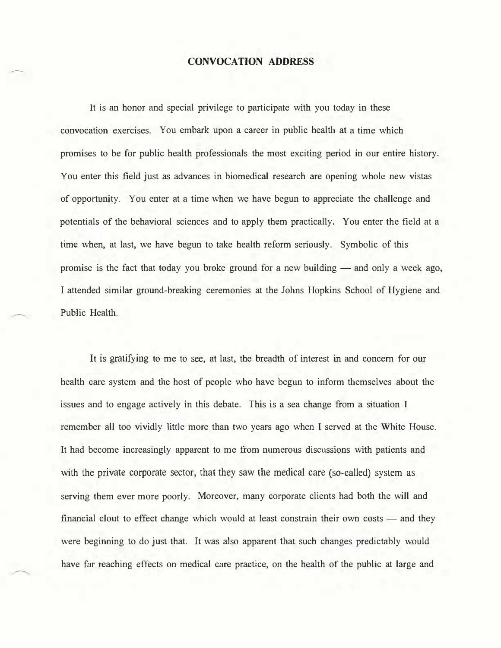## CONVOCATION ADDRESS

It is an honor and special privilege to participate with you today in these convocation exercises. You embark upon a career in public health at a time which promises to be for public health professionals the most exciting period in our entire history. You enter this field just as advances in biomedical research are opening whole new vistas of opportunity. You enter at a time when we have begun to appreciate the challenge and potentials of the behavioral sciences and to apply them practically. You enter the field at a time when, at last, we have begun to take health reform seriously. Symbolic of this promise is the fact that today you broke ground for a new building — and only a week ago. I attended similar ground-breaking ceremonies at the Johns Hopkins School of Hygiene and Public Health.

It is gratifying to me to see, at last, the breadth of interest in and concern for our health care system and the host of people who have begun to inform themselves about the issues and to engage actively in this debate. This is a sea change from a situation I remember all too vividly little more than two years ago when I served at the White House. It had become increasingly apparent to me from numerous discussions with patients and with the private corporate sector, that they saw the medical care (so-called) system as serving them ever more poorly. Moreover, many corporate clients had both the will and financial clout to effect change which would at least constrain their own costs  $-$  and they were beginning to do just that. It was also apparent that such changes predictably would have far reaching effects on medical care practice, on the health of the public at large and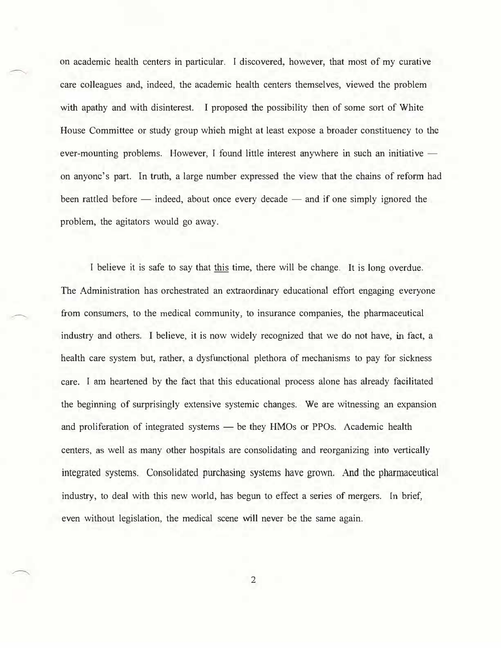on academic health centers in particular. I discovered, however, that most of my curative care colleagues and, indeed, the academic health centers themselves, viewed the problem with apathy and with disinterest. I proposed the possibility then of some sort of White House Committee or study group which might at least expose a broader constituency to the ever-mounting problems. However, I found little interest anywhere in such an initiative  $$ on anyone's part. In truth, a large number expressed the view that the chains of refonn had been rattled before  $-$  indeed, about once every decade  $-$  and if one simply ignored the problem, the agitators would go away.

I believe it is safe to say that this time, there will be change. It is long overdue. The Administration has orchestrated an extraordinary educational effort engaging everyone from consumers, to the medical community, to insurance companies, the pharmaceutical industry and others. I believe, it is now widely recognized that we do not have, in fact, a health care system but, rather, a dysfunctional plethora of mechanisms to pay for sickness care. I am heartened by the fact that this educational process alone has already facilitated the beginning of surprisingly extensive systemic changes. We are witnessing an expansion and proliferation of integrated systems - be they HMOs or PPOs. Academic health centers, as well as many other hospitals are consolidating and reorganizing into vertically integrated systems. Consolidated purchasing systems have grown. And the pharmaceutical industry, to deal with this new world, has begun to effect a series of mergers. In brief, even without legislation, the medical scene will never be the same again.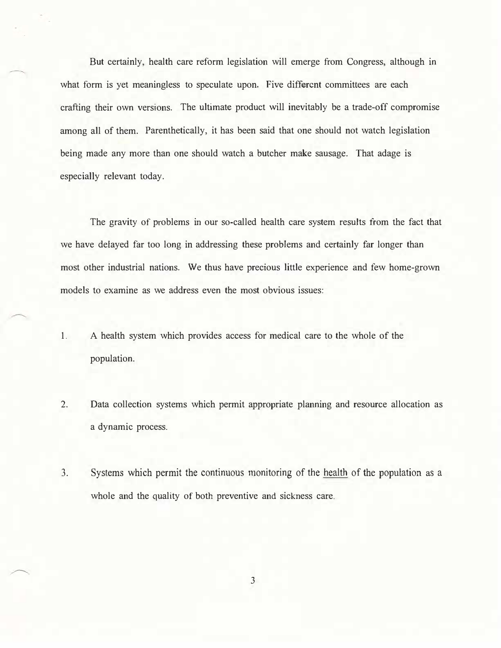But certainly, health care reform legislation will emerge from Congress, although in what form is yet meaningless to speculate upon. Five different committees are each crafting their own versions. The ultimate product will inevitably be a trade-off compromise among all of them. Parenthetically, it has been said that one should not watch legislation being made any more than one should watch a butcher make sausage. That adage is especially relevant today.

The gravity of problems in our so-called health care system results from the fact that we have delayed far too long in addressing these problems and certainly far longer than most other industrial nations. We thus have precious little experience and few home-grown models to examine as we address even the most obvious issues:

- 1. A health system which provides access for medical care to the whole of the population.
- 2. Data collection systems which permit appropriate planning and resource allocation as a dynamic process.
- 3. Systems which permit the continuous monitoring of the health of the population as a whole and the quality of both preventive and sickness care.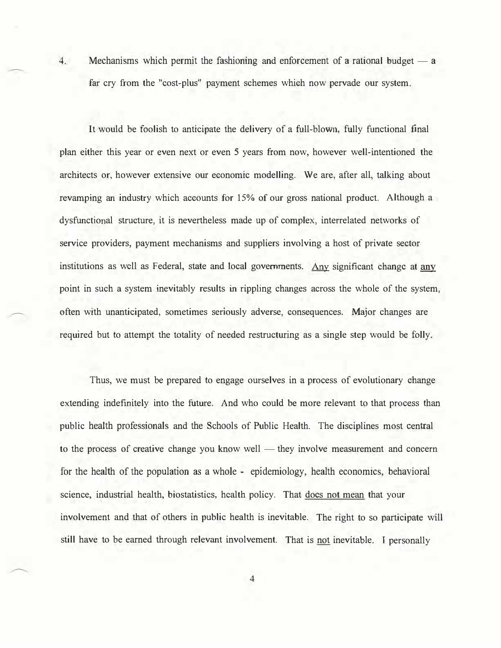4. Mechanisms which permit the fashioning and enforcement of a rational budget  $-$  a far cry from the "cost-plus" payment schemes which now pervade our system.

It would be foolish to anticipate the delivery of a full-blown, fully functional final plan either this year or even next or even 5 years from now, however well-intentioned the architects or, however extensive our economic modelling. We are, after all, talking about revamping an industry which accounts for 15% of our gross national product. Although a dysfunctional structure, it is nevertheless made up of complex, interrelated networks of service providers, payment mechanisms and suppliers involving a host of private sector institutions as well as Federal, state and local governments. Any significant change at any point in such a system inevitably results in rippling changes across the whole of the system, often with unanticipated, sometimes seriously adverse, consequences. Major changes are required but to attempt the totality of needed restructuring as a single step would be folly.

Thus, we must be prepared to engage ourselves in a process of evolutionary change extending indefinitely into the future. And who could be more relevant to that process than public health professionals and the Schools of Public Health. The disciplines most central to the process of creative change you know well — they involve measurement and concern for the health of the population as a whole - epidemiology, health economics, behavioral science, industrial health, biostatistics, health policy. That does not mean that your involvement and that of others in public health is inevitable. The right to so participate will still have to be earned through relevant involvement. That is not inevitable. I personally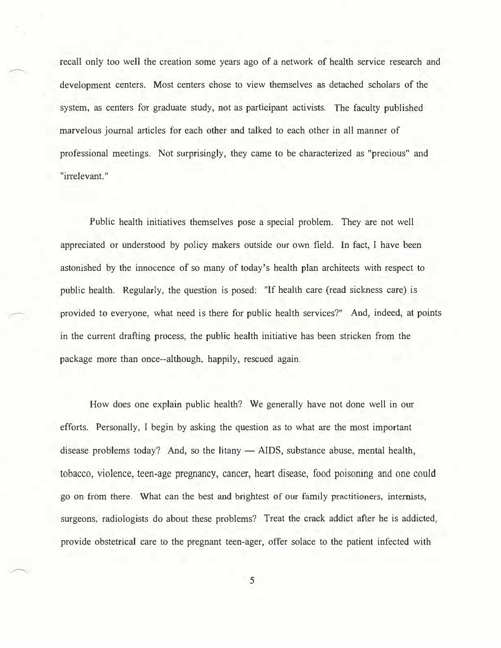recall only too well the creation some years ago of a network of health service research and development centers. Most centers chose to view themselves as detached scholars of the system, as centers for graduate study, not as participant activists. The faculty published marvelous journal articles for each other and talked to each other in all manner of professional meetings. Not surprisingly, they came to be characterized as "precious" and "irrelevant."

Public health initiatives themselves pose a special problem. They are not well appreciated or understood by policy makers outside our own field. In fact, I have been astonished by the innocence of so many of today's health plan architects with respect to public health. Regularly, the question is posed: "If health care (read siclmess care) is provided to everyone, what need is there for public health services?" And, indeed, at points in the current drafting process, the public health initiative has been stricken from the package more than once--although, happily, rescued again.

How does one explain public health? We generally have not done well in our efforts. Personally, I begin by asking the question as to what are the most important disease problems today? And, so the litany  $-$  AIDS, substance abuse, mental health, tobacco, violence, teen-age pregnancy, cancer, heart disease, food poisoning and one could go on from there. What can the best and brightest of our family practitioners, internists, surgeons, radiologists do about these problems? Treat the crack addict after he is addicted, provide obstetrical care to the pregnant teen-ager, offer solace to the patient infected with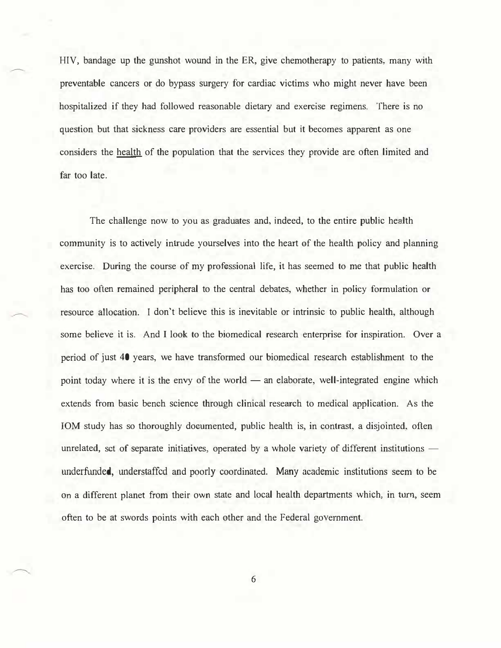HIV, bandage up the gunshot wound in the ER, give chemotherapy to patients, many with preventable cancers or do bypass surgery for cardiac victims who might never have been hospitalized if they bad followed reasonable dietary and exercise regimens. There is no question but that sickness care providers are essential but it becomes apparent as one considers the health of the population that the services they provide are often limited and far too late.

The challenge now to you as graduates and, indeed, to the entire public health community is to actively intrude yourselves into the heart of the health policy and planning exercise. During the course of my professional life, it has seemed to me that public health has too often remained peripheral to the central debates, whether in policy formulation or resource allocation. I don't believe this is inevitable or intrinsic to public health, although some believe it is. And I look to the biomedical research enterprise for inspiration. Over a period of just 40 years, we have transformed our biomedical research establishment to the point today where it is the envy of the world  $-$  an elaborate, well-integrated engine which extends from basic bench science through clinical research to medical application. As the IOM study has so thoroughly documented, public health is, in contrast, a disjointed, often unrelated, set of separate initiatives, operated by a whole variety of different institutions underfunded, understaffed and poorly coordinated. Many academic institutions seem to be on a different planet from their own state and local health departments which, in turn, seem often to be at swords points with each other and the Federal government.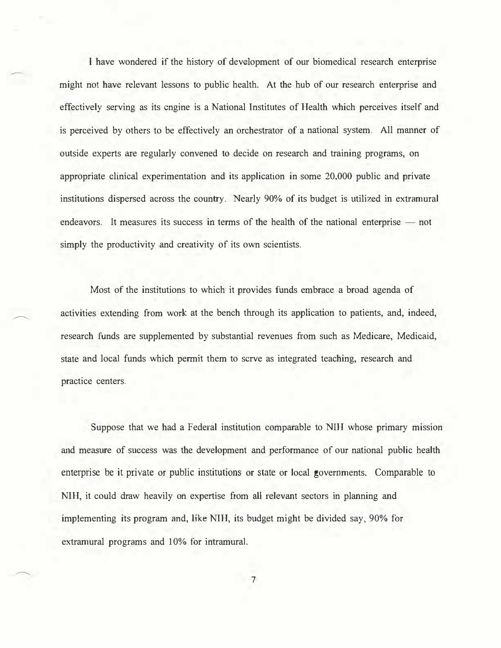I have wondered if the history of development of our biomedical research enterprise might not have relevant lessons to public health. At the hub of our research enterprise and effectively serving as its engine is a National Institutes of Health which perceives itself and is perceived by others to be effectively an orchestrator of a national system. All manner of outside experts are regularly convened to decide on research and training programs, on appropriate clinical experimentation and its application in some 20,000 public and private institutions dispersed across the country. Nearly 90% of its budget is utilized in extramural endeavors. It measures its success in terms of the health of the national enterprise  $-$  not simply the productivity and creativity of its own scientists.

Most of the institutions to which it provides funds embrace a broad agenda of activities extending from work at the bench through its application to patients, and, indeed, research funds are supplemented by substantial revenues from such as Medicare, Medicaid, state and local funds which permit them to serve as integrated teaching, research and practice centers.

Suppose that we had a Federal institution comparable to NIH whose primary mission and measure of success was the development and performance of our national public health enterprise be it private or public institutions or state or local governments. Comparable to NIH, it could draw heavily on expertise from all relevant sectors in planning and implementing its program and, like NIH, its budget might be divided say, 90% for extramural programs and 10% for intramural.